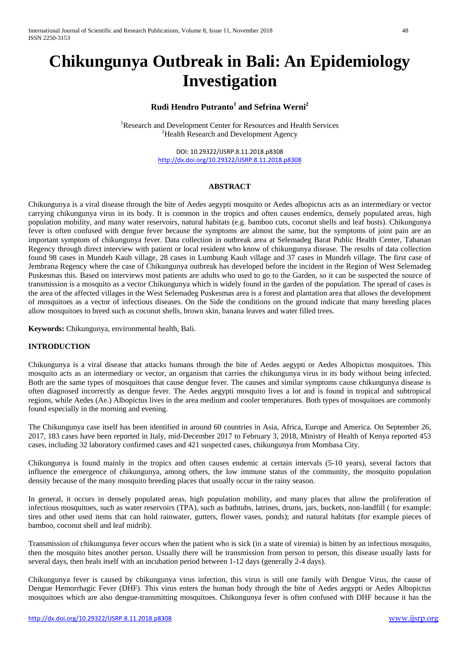# **Chikungunya Outbreak in Bali: An Epidemiology Investigation**

# **Rudi Hendro Putranto<sup>1</sup> and Sefrina Werni<sup>2</sup>**

<sup>1</sup>Research and Development Center for Resources and Health Services <sup>2</sup>Health Research and Development Agency

> DOI: 10.29322/IJSRP.8.11.2018.p8308 <http://dx.doi.org/10.29322/IJSRP.8.11.2018.p8308>

## **ABSTRACT**

Chikungunya is a viral disease through the bite of Aedes aegypti mosquito or Aedes albopictus acts as an intermediary or vector carrying chikungunya virus in its body. It is common in the tropics and often causes endemics, densely populated areas, high population mobility, and many water reservoirs, natural habitats (e.g. bamboo cuts, coconut shells and leaf busts). Chikungunya fever is often confused with dengue fever because the symptoms are almost the same, but the symptoms of joint pain are an important symptom of chikungunya fever. Data collection in outbreak area at Selemadeg Barat Public Health Center, Tabanan Regency through direct interview with patient or local resident who know of chikungunya disease. The results of data collection found 98 cases in Mundeh Kauh village, 28 cases in Lumbung Kauh village and 37 cases in Mundeh village. The first case of Jembrana Regency where the case of Chikungunya outbreak has developed before the incident in the Region of West Selemadeg Puskesmas this. Based on interviews most patients are adults who used to go to the Garden, so it can be suspected the source of transmission is a mosquito as a vector Chikungunya which is widely found in the garden of the population. The spread of cases is the area of the affected villages in the West Selemadeg Puskesmas area is a forest and plantation area that allows the development of mosquitoes as a vector of infectious diseases. On the Side the conditions on the ground indicate that many breeding places allow mosquitoes to breed such as coconut shells, brown skin, banana leaves and water filled trees.

**Keywords:** Chikungunya, environmental health, Bali.

## **INTRODUCTION**

Chikungunya is a viral disease that attacks humans through the bite of Aedes aegypti or Aedes Albopictus mosquitoes. This mosquito acts as an intermediary or vector, an organism that carries the chikungunya virus in its body without being infected. Both are the same types of mosquitoes that cause dengue fever. The causes and similar symptoms cause chikungunya disease is often diagnosed incorrectly as dengue fever. The Aedes aegypti mosquito lives a lot and is found in tropical and subtropical regions, while Aedes (Ae.) Albopictus lives in the area medium and cooler temperatures. Both types of mosquitoes are commonly found especially in the morning and evening.

The Chikungunya case itself has been identified in around 60 countries in Asia, Africa, Europe and America. On September 26, 2017, 183 cases have been reported in Italy, mid-December 2017 to February 3, 2018, Ministry of Health of Kenya reported 453 cases, including 32 laboratory confirmed cases and 421 suspected cases, chikungunya from Mombasa City.

Chikungunya is found mainly in the tropics and often causes endemic at certain intervals (5-10 years), several factors that influence the emergence of chikungunya, among others, the low immune status of the community, the mosquito population density because of the many mosquito breeding places that usually occur in the rainy season.

In general, it occurs in densely populated areas, high population mobility, and many places that allow the proliferation of infectious mosquitoes, such as water reservoirs (TPA), such as bathtubs, latrines, drums, jars, buckets, non-landfill ( for example: tires and other used items that can hold rainwater, gutters, flower vases, ponds); and natural habitats (for example pieces of bamboo, coconut shell and leaf midrib).

Transmission of chikungunya fever occurs when the patient who is sick (in a state of viremia) is bitten by an infectious mosquito, then the mosquito bites another person. Usually there will be transmission from person to person, this disease usually lasts for several days, then heals itself with an incubation period between 1-12 days (generally 2-4 days).

Chikungunya fever is caused by chikungunya virus infection, this virus is still one family with Dengue Virus, the cause of Dengue Hemorrhagic Fever (DHF). This virus enters the human body through the bite of Aedes aegypti or Aedes Albopictus mosquitoes which are also dengue-transmitting mosquitoes. Chikungunya fever is often confused with DHF because it has the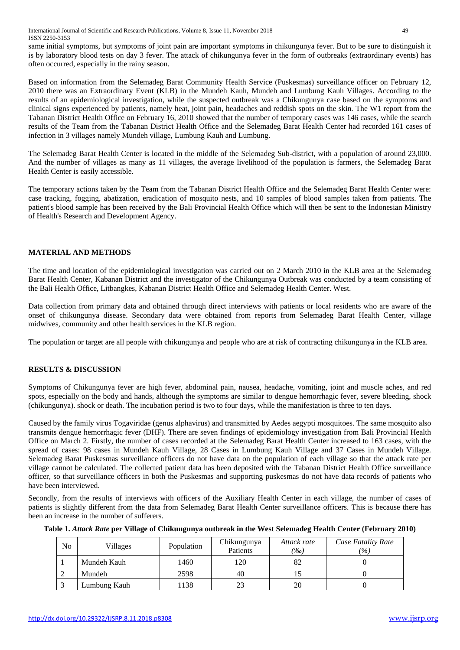same initial symptoms, but symptoms of joint pain are important symptoms in chikungunya fever. But to be sure to distinguish it is by laboratory blood tests on day 3 fever. The attack of chikungunya fever in the form of outbreaks (extraordinary events) has often occurred, especially in the rainy season.

Based on information from the Selemadeg Barat Community Health Service (Puskesmas) surveillance officer on February 12, 2010 there was an Extraordinary Event (KLB) in the Mundeh Kauh, Mundeh and Lumbung Kauh Villages. According to the results of an epidemiological investigation, while the suspected outbreak was a Chikungunya case based on the symptoms and clinical signs experienced by patients, namely heat, joint pain, headaches and reddish spots on the skin. The W1 report from the Tabanan District Health Office on February 16, 2010 showed that the number of temporary cases was 146 cases, while the search results of the Team from the Tabanan District Health Office and the Selemadeg Barat Health Center had recorded 161 cases of infection in 3 villages namely Mundeh village, Lumbung Kauh and Lumbung.

The Selemadeg Barat Health Center is located in the middle of the Selemadeg Sub-district, with a population of around 23,000. And the number of villages as many as 11 villages, the average livelihood of the population is farmers, the Selemadeg Barat Health Center is easily accessible.

The temporary actions taken by the Team from the Tabanan District Health Office and the Selemadeg Barat Health Center were: case tracking, fogging, abatization, eradication of mosquito nests, and 10 samples of blood samples taken from patients. The patient's blood sample has been received by the Bali Provincial Health Office which will then be sent to the Indonesian Ministry of Health's Research and Development Agency.

# **MATERIAL AND METHODS**

The time and location of the epidemiological investigation was carried out on 2 March 2010 in the KLB area at the Selemadeg Barat Health Center, Kabanan District and the investigator of the Chikungunya Outbreak was conducted by a team consisting of the Bali Health Office, Litbangkes, Kabanan District Health Office and Selemadeg Health Center. West.

Data collection from primary data and obtained through direct interviews with patients or local residents who are aware of the onset of chikungunya disease. Secondary data were obtained from reports from Selemadeg Barat Health Center, village midwives, community and other health services in the KLB region.

The population or target are all people with chikungunya and people who are at risk of contracting chikungunya in the KLB area.

# **RESULTS & DISCUSSION**

Symptoms of Chikungunya fever are high fever, abdominal pain, nausea, headache, vomiting, joint and muscle aches, and red spots, especially on the body and hands, although the symptoms are similar to dengue hemorrhagic fever, severe bleeding, shock (chikungunya). shock or death. The incubation period is two to four days, while the manifestation is three to ten days.

Caused by the family virus Togaviridae (genus alphavirus) and transmitted by Aedes aegypti mosquitoes. The same mosquito also transmits dengue hemorrhagic fever (DHF). There are seven findings of epidemiology investigation from Bali Provincial Health Office on March 2. Firstly, the number of cases recorded at the Selemadeg Barat Health Center increased to 163 cases, with the spread of cases: 98 cases in Mundeh Kauh Village, 28 Cases in Lumbung Kauh Village and 37 Cases in Mundeh Village. Selemadeg Barat Puskesmas surveillance officers do not have data on the population of each village so that the attack rate per village cannot be calculated. The collected patient data has been deposited with the Tabanan District Health Office surveillance officer, so that surveillance officers in both the Puskesmas and supporting puskesmas do not have data records of patients who have been interviewed.

Secondly, from the results of interviews with officers of the Auxiliary Health Center in each village, the number of cases of patients is slightly different from the data from Selemadeg Barat Health Center surveillance officers. This is because there has been an increase in the number of sufferers.

**Table 1.** *Attack Rate* **per Village of Chikungunya outbreak in the West Selemadeg Health Center (February 2010)**

| No | Villages     | Population | Chikungunya<br>Patients | Attack rate<br>(%o) | Case Fatality Rate<br>$( \% )$ |
|----|--------------|------------|-------------------------|---------------------|--------------------------------|
|    | Mundeh Kauh  | 1460       | 120                     | 82                  |                                |
|    | Mundeh       | 2598       | 40                      |                     |                                |
|    | Lumbung Kauh | 1138       | 23                      | 20                  |                                |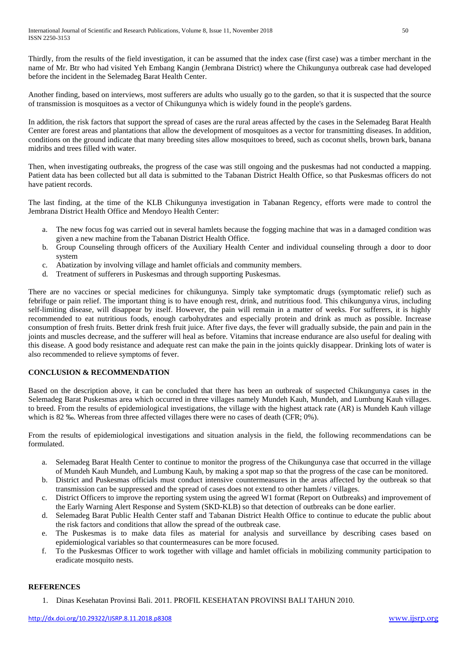Thirdly, from the results of the field investigation, it can be assumed that the index case (first case) was a timber merchant in the name of Mr. Btr who had visited Yeh Embang Kangin (Jembrana District) where the Chikungunya outbreak case had developed before the incident in the Selemadeg Barat Health Center.

Another finding, based on interviews, most sufferers are adults who usually go to the garden, so that it is suspected that the source of transmission is mosquitoes as a vector of Chikungunya which is widely found in the people's gardens.

In addition, the risk factors that support the spread of cases are the rural areas affected by the cases in the Selemadeg Barat Health Center are forest areas and plantations that allow the development of mosquitoes as a vector for transmitting diseases. In addition, conditions on the ground indicate that many breeding sites allow mosquitoes to breed, such as coconut shells, brown bark, banana midribs and trees filled with water.

Then, when investigating outbreaks, the progress of the case was still ongoing and the puskesmas had not conducted a mapping. Patient data has been collected but all data is submitted to the Tabanan District Health Office, so that Puskesmas officers do not have patient records.

The last finding, at the time of the KLB Chikungunya investigation in Tabanan Regency, efforts were made to control the Jembrana District Health Office and Mendoyo Health Center:

- a. The new focus fog was carried out in several hamlets because the fogging machine that was in a damaged condition was given a new machine from the Tabanan District Health Office.
- b. Group Counseling through officers of the Auxiliary Health Center and individual counseling through a door to door system
- c. Abatization by involving village and hamlet officials and community members.
- d. Treatment of sufferers in Puskesmas and through supporting Puskesmas.

There are no vaccines or special medicines for chikungunya. Simply take symptomatic drugs (symptomatic relief) such as febrifuge or pain relief. The important thing is to have enough rest, drink, and nutritious food. This chikungunya virus, including self-limiting disease, will disappear by itself. However, the pain will remain in a matter of weeks. For sufferers, it is highly recommended to eat nutritious foods, enough carbohydrates and especially protein and drink as much as possible. Increase consumption of fresh fruits. Better drink fresh fruit juice. After five days, the fever will gradually subside, the pain and pain in the joints and muscles decrease, and the sufferer will heal as before. Vitamins that increase endurance are also useful for dealing with this disease. A good body resistance and adequate rest can make the pain in the joints quickly disappear. Drinking lots of water is also recommended to relieve symptoms of fever.

## **CONCLUSION & RECOMMENDATION**

Based on the description above, it can be concluded that there has been an outbreak of suspected Chikungunya cases in the Selemadeg Barat Puskesmas area which occurred in three villages namely Mundeh Kauh, Mundeh, and Lumbung Kauh villages. to breed. From the results of epidemiological investigations, the village with the highest attack rate (AR) is Mundeh Kauh village which is 82 ‰. Whereas from three affected villages there were no cases of death (CFR; 0%).

From the results of epidemiological investigations and situation analysis in the field, the following recommendations can be formulated.

- a. Selemadeg Barat Health Center to continue to monitor the progress of the Chikungunya case that occurred in the village of Mundeh Kauh Mundeh, and Lumbung Kauh, by making a spot map so that the progress of the case can be monitored.
- b. District and Puskesmas officials must conduct intensive countermeasures in the areas affected by the outbreak so that transmission can be suppressed and the spread of cases does not extend to other hamlets / villages.
- c. District Officers to improve the reporting system using the agreed W1 format (Report on Outbreaks) and improvement of the Early Warning Alert Response and System (SKD-KLB) so that detection of outbreaks can be done earlier.
- d. Selemadeg Barat Public Health Center staff and Tabanan District Health Office to continue to educate the public about the risk factors and conditions that allow the spread of the outbreak case.
- e. The Puskesmas is to make data files as material for analysis and surveillance by describing cases based on epidemiological variables so that countermeasures can be more focused.
- f. To the Puskesmas Officer to work together with village and hamlet officials in mobilizing community participation to eradicate mosquito nests.

## **REFERENCES**

1. Dinas Kesehatan Provinsi Bali. 2011. PROFIL KESEHATAN PROVINSI BALI TAHUN 2010.